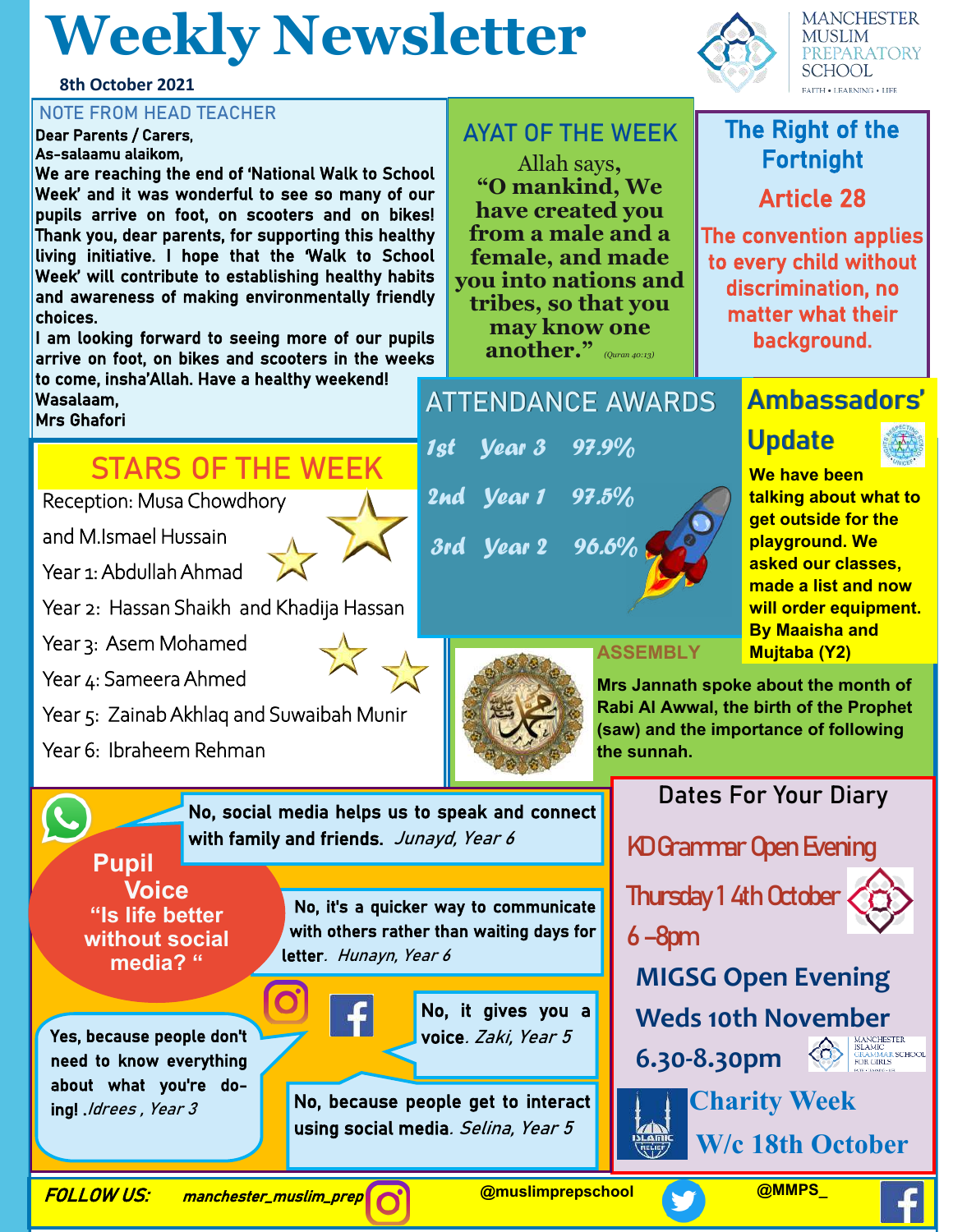# **Weekly Newsletter**

**8th October 2021**

Dear Parents / Carers, As-salaamu alaikom,

We are reaching the end of 'National Walk to School Week' and it was wonderful to see so many of our pupils arrive on foot, on scooters and on bikes! Thank you, dear parents, for supporting this healthy living initiative. I hope that the 'Walk to School Week' will contribute to establishing healthy habits and awareness of making environmentally friendly choices.

I am looking forward to seeing more of our pupils arrive on foot, on bikes and scooters in the weeks to come, insha'Allah. Have a healthy weekend!

Wasalaam, Mrs Ghafori

### **STARS OF THE WEEK**

Reception: Musa Chowdhory

and M.Ismael Hussain

Year 1: Abdullah Ahmad

Year 2: Hassan Shaikh and Khadija Hassan

Year 3: Asem Mohamed

Year 4: Sameera Ahmed

Year 5: Zainab Akhlaq and Suwaibah Munir

Year 6: Ibraheem Rehman

**Voice "Is life better without social media? "**

Yes, because people don't need to know everything about what you're do-

ing! *.Idrees*, Year 3

**Pupil** 

No, social media helps us to speak and connect with family and friends. Junayd, Year 6

> No, it's a quicker way to communicate with others rather than waiting days for letter. Hunayn, Year 6

> > No, it gives you a voice. Zaki, Year 5

No, because people get to interact using social media. Selina, Year 5

FOLLOW US: manchester\_muslim\_prep





#### **FAITH . LEARNING . LIFE** NOTE FROM HEAD TEACHER<br>Dear Parents / Carers, The Right of the Right of the Right of the Right of the Right of the Right of the Right of Fortnight

Article 28

The convention applies to every child without discrimination, no matter what their background.

#### **ATTENDANCE AWARDS**

Allah says**, "O mankind, We have created you from a male and a female, and made you into nations and tribes, so that you may know one another."** *(Quran 40:13)*

1st Year 3 97.9%

2nd Year 1 97.5%



#### **Ambassadors'**

### **Update**



**We have been talking about what to get outside for the playground. We asked our classes, made a list and now will order equipment. By Maaisha and Mujtaba (Y2)**

**ASSEMBLY**

**Mrs Jannath spoke about the month of Rabi Al Awwal, the birth of the Prophet (saw) and the importance of following the sunnah.**

**Dates For Your Diary**

KD Grammar Open Evening

Thursday 1 4th October



**MIGSG Open Evening** 

**Weds 10th November** 

**6.30-8.30pm**





 **W/c 18th October**